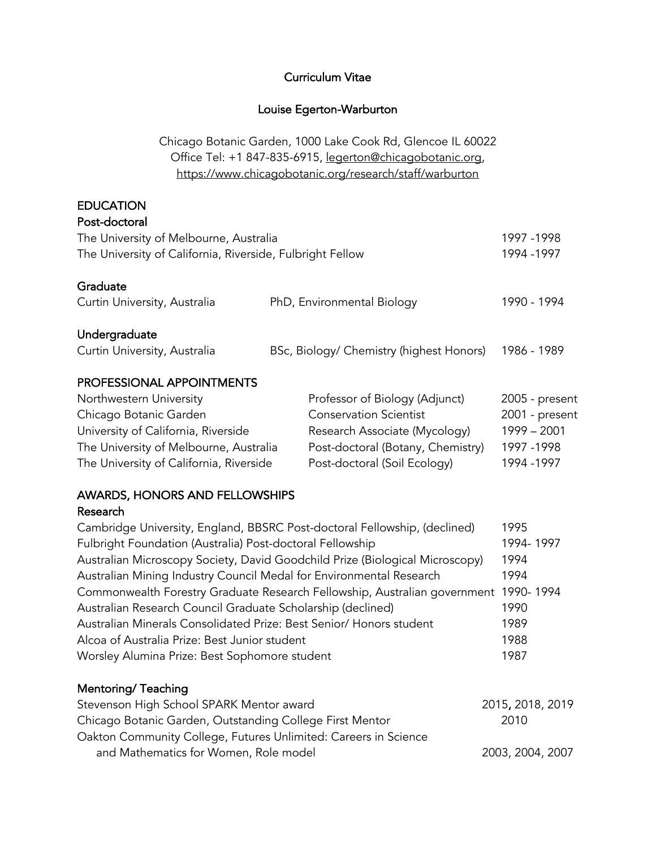### Curriculum Vitae

# Louise Egerton-Warburton

Chicago Botanic Garden, 1000 Lake Cook Rd, Glencoe IL 60022 Office Tel: +1 847-835-6915, legerton@chicagobotanic.org, https://www.chicagobotanic.org/research/staff/warburton

# EDUCATION

| Post-doctoral                                                             |  |                                          |                |
|---------------------------------------------------------------------------|--|------------------------------------------|----------------|
| The University of Melbourne, Australia                                    |  | 1997 - 1998                              |                |
| The University of California, Riverside, Fulbright Fellow                 |  |                                          | 1994 - 1997    |
|                                                                           |  |                                          |                |
| Graduate                                                                  |  |                                          |                |
| Curtin University, Australia                                              |  | PhD, Environmental Biology               | 1990 - 1994    |
|                                                                           |  |                                          |                |
| Undergraduate                                                             |  |                                          |                |
| Curtin University, Australia                                              |  | BSc, Biology/ Chemistry (highest Honors) | 1986 - 1989    |
| PROFESSIONAL APPOINTMENTS                                                 |  |                                          |                |
| Northwestern University                                                   |  | Professor of Biology (Adjunct)           | 2005 - present |
| Chicago Botanic Garden                                                    |  | <b>Conservation Scientist</b>            | 2001 - present |
| University of California, Riverside                                       |  | Research Associate (Mycology)            | $1999 - 2001$  |
| The University of Melbourne, Australia                                    |  | Post-doctoral (Botany, Chemistry)        | 1997 - 1998    |
| The University of California, Riverside                                   |  | Post-doctoral (Soil Ecology)             | 1994 - 1997    |
|                                                                           |  |                                          |                |
| <b>AWARDS, HONORS AND FELLOWSHIPS</b>                                     |  |                                          |                |
| Research                                                                  |  |                                          |                |
| Cambridge University, England, BBSRC Post-doctoral Fellowship, (declined) |  |                                          | 1995           |

| Cambridge University, England, BBSRC Post-doctoral Fellowship, (declined)           | בצצו      |
|-------------------------------------------------------------------------------------|-----------|
| Fulbright Foundation (Australia) Post-doctoral Fellowship                           | 1994-1997 |
| Australian Microscopy Society, David Goodchild Prize (Biological Microscopy)        | 1994      |
| Australian Mining Industry Council Medal for Environmental Research                 | 1994      |
| Commonwealth Forestry Graduate Research Fellowship, Australian government 1990-1994 |           |
| Australian Research Council Graduate Scholarship (declined)                         | 1990      |
| Australian Minerals Consolidated Prize: Best Senior/ Honors student                 | 1989      |
| Alcoa of Australia Prize: Best Junior student                                       | 1988      |
| Worsley Alumina Prize: Best Sophomore student                                       | 1987      |
|                                                                                     |           |

# Mentoring/ Teaching

| Stevenson High School SPARK Mentor award                        | 2015, 2018, 2019 |
|-----------------------------------------------------------------|------------------|
| Chicago Botanic Garden, Outstanding College First Mentor        | 2010             |
| Oakton Community College, Futures Unlimited: Careers in Science |                  |
| and Mathematics for Women, Role model                           | 2003, 2004, 2007 |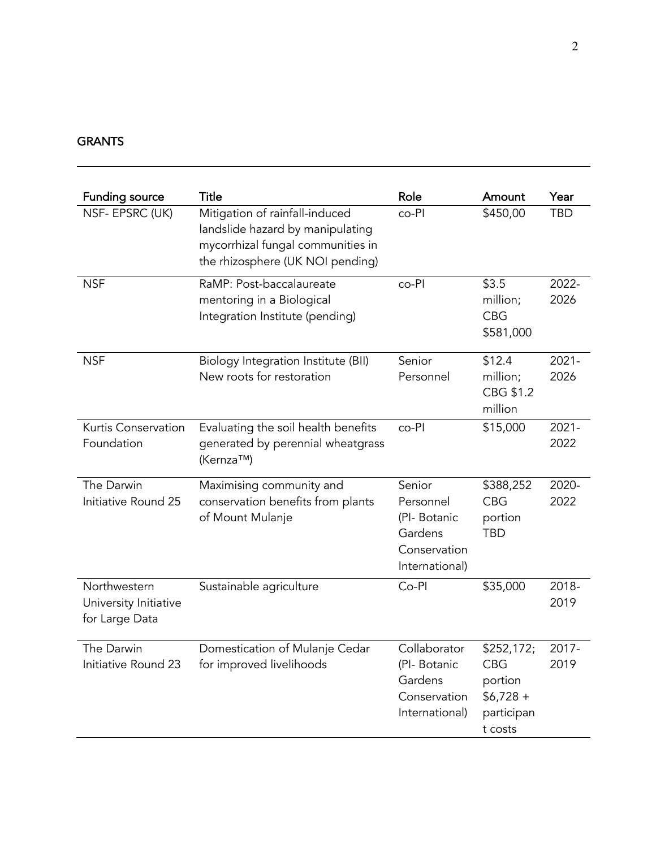# GRANTS

| <b>Funding source</b>                                   | <b>Title</b>                                                                                                                                | Role                                                                            | Amount                                                                     | Year             |
|---------------------------------------------------------|---------------------------------------------------------------------------------------------------------------------------------------------|---------------------------------------------------------------------------------|----------------------------------------------------------------------------|------------------|
| NSF- EPSRC (UK)                                         | Mitigation of rainfall-induced<br>landslide hazard by manipulating<br>mycorrhizal fungal communities in<br>the rhizosphere (UK NOI pending) | co-Pl                                                                           | \$450,00                                                                   | <b>TBD</b>       |
| <b>NSF</b>                                              | RaMP: Post-baccalaureate<br>mentoring in a Biological<br>Integration Institute (pending)                                                    | co-Pl                                                                           | \$3.5<br>million;<br><b>CBG</b><br>\$581,000                               | 2022-<br>2026    |
| <b>NSF</b>                                              | <b>Biology Integration Institute (BII)</b><br>New roots for restoration                                                                     | Senior<br>Personnel                                                             | \$12.4<br>million;<br>CBG \$1.2<br>million                                 | $2021 -$<br>2026 |
| Kurtis Conservation<br>Foundation                       | Evaluating the soil health benefits<br>generated by perennial wheatgrass<br>(Kernza™)                                                       | co-Pl                                                                           | \$15,000                                                                   | $2021 -$<br>2022 |
| The Darwin<br>Initiative Round 25                       | Maximising community and<br>conservation benefits from plants<br>of Mount Mulanje                                                           | Senior<br>Personnel<br>(PI-Botanic<br>Gardens<br>Conservation<br>International) | \$388,252<br><b>CBG</b><br>portion<br><b>TBD</b>                           | 2020-<br>2022    |
| Northwestern<br>University Initiative<br>for Large Data | Sustainable agriculture                                                                                                                     | Co-Pl                                                                           | \$35,000                                                                   | 2018-<br>2019    |
| The Darwin<br>Initiative Round 23                       | Domestication of Mulanje Cedar<br>for improved livelihoods                                                                                  | Collaborator<br>(PI-Botanic<br>Gardens<br>Conservation<br>International)        | \$252,172;<br><b>CBG</b><br>portion<br>$$6,728 +$<br>participan<br>t costs | 2017-<br>2019    |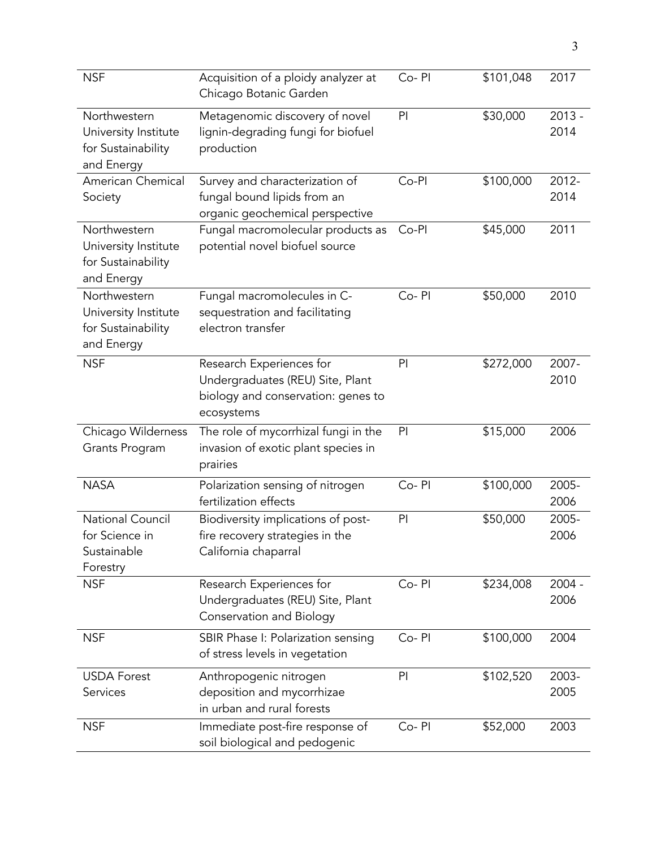| <b>NSF</b>                                                               | Acquisition of a ploidy analyzer at<br>Chicago Botanic Garden                                                    | Co-PI | \$101,048 | 2017             |
|--------------------------------------------------------------------------|------------------------------------------------------------------------------------------------------------------|-------|-----------|------------------|
| Northwestern<br>University Institute<br>for Sustainability<br>and Energy | Metagenomic discovery of novel<br>lignin-degrading fungi for biofuel<br>production                               | PI    | \$30,000  | $2013 -$<br>2014 |
| American Chemical<br>Society                                             | Survey and characterization of<br>fungal bound lipids from an<br>organic geochemical perspective                 | Co-Pl | \$100,000 | $2012 -$<br>2014 |
| Northwestern<br>University Institute<br>for Sustainability<br>and Energy | Fungal macromolecular products as<br>potential novel biofuel source                                              | Co-Pl | \$45,000  | 2011             |
| Northwestern<br>University Institute<br>for Sustainability<br>and Energy | Fungal macromolecules in C-<br>sequestration and facilitating<br>electron transfer                               | Co-PI | \$50,000  | 2010             |
| <b>NSF</b>                                                               | Research Experiences for<br>Undergraduates (REU) Site, Plant<br>biology and conservation: genes to<br>ecosystems | PI    | \$272,000 | 2007-<br>2010    |
| Chicago Wilderness<br>Grants Program                                     | The role of mycorrhizal fungi in the<br>invasion of exotic plant species in<br>prairies                          | PI    | \$15,000  | 2006             |
| <b>NASA</b>                                                              | Polarization sensing of nitrogen<br>fertilization effects                                                        | Co-PI | \$100,000 | 2005-<br>2006    |
| <b>National Council</b><br>for Science in<br>Sustainable<br>Forestry     | Biodiversity implications of post-<br>fire recovery strategies in the<br>California chaparral                    | PI    | \$50,000  | 2005-<br>2006    |
| <b>NSF</b>                                                               | Research Experiences for<br>Undergraduates (REU) Site, Plant<br><b>Conservation and Biology</b>                  | Co-PI | \$234,008 | $2004 -$<br>2006 |
| <b>NSF</b>                                                               | SBIR Phase I: Polarization sensing<br>of stress levels in vegetation                                             | Co-PI | \$100,000 | 2004             |
| <b>USDA Forest</b><br>Services                                           | Anthropogenic nitrogen<br>deposition and mycorrhizae<br>in urban and rural forests                               | PI    | \$102,520 | 2003-<br>2005    |
| <b>NSF</b>                                                               | Immediate post-fire response of<br>soil biological and pedogenic                                                 | Co-PI | \$52,000  | 2003             |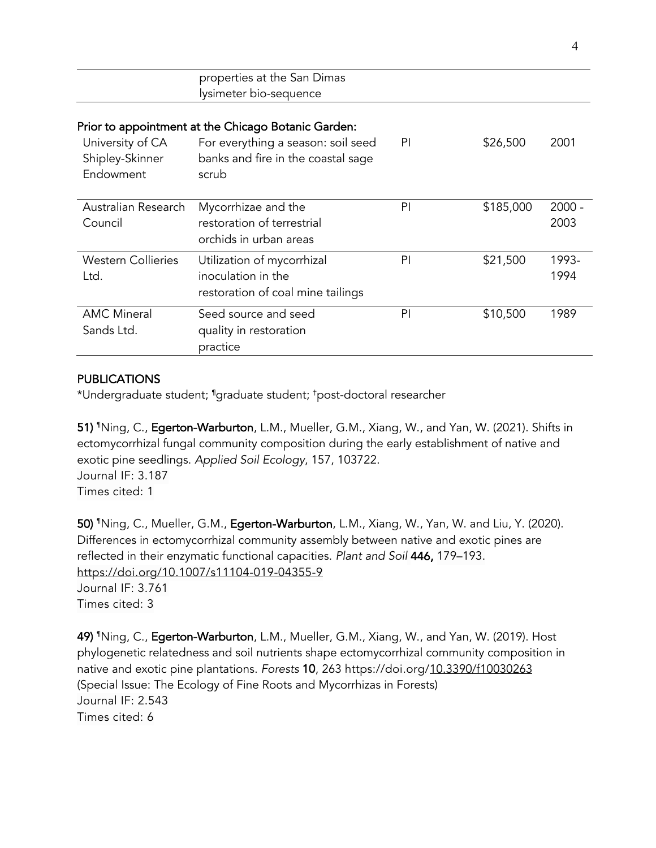|                                                  | properties at the San Dimas<br>lysimeter bio-sequence                                                                                    |    |           |                  |
|--------------------------------------------------|------------------------------------------------------------------------------------------------------------------------------------------|----|-----------|------------------|
| University of CA<br>Shipley-Skinner<br>Endowment | Prior to appointment at the Chicago Botanic Garden:<br>For everything a season: soil seed<br>banks and fire in the coastal sage<br>scrub | PI | \$26,500  | 2001             |
| Australian Research<br>Council                   | Mycorrhizae and the<br>restoration of terrestrial<br>orchids in urban areas                                                              | PI | \$185,000 | $2000 -$<br>2003 |
| <b>Western Collieries</b><br>Ltd.                | Utilization of mycorrhizal<br>inoculation in the<br>restoration of coal mine tailings                                                    | PI | \$21,500  | 1993-<br>1994    |
| <b>AMC Mineral</b><br>Sands Ltd.                 | Seed source and seed<br>quality in restoration<br>practice                                                                               | PI | \$10,500  | 1989             |

# PUBLICATIONS

\*Undergraduate student; ¶ graduate student; † post-doctoral researcher

**51) 『**Ning, C., **Egerton-Warburton**, L.M., Mueller, G.M., Xiang, W., and Yan, W. (2021). Shifts in ectomycorrhizal fungal community composition during the early establishment of native and exotic pine seedlings. *Applied Soil Ecology*, 157, 103722. Journal IF: 3.187 Times cited: 1

**50) "**Ning, C., Mueller, G.M., **Egerton-Warburton**, L.M., Xiang, W., Yan, W. and Liu, Y. (2020). Differences in ectomycorrhizal community assembly between native and exotic pines are reflected in their enzymatic functional capacities. *Plant and Soil* 446, 179–193. https://doi.org/10.1007/s11104-019-04355-9 Journal IF: 3.761

Times cited: 3

49) ¶ Ning, C., Egerton-Warburton, L.M., Mueller, G.M., Xiang, W., and Yan, W. (2019). Host phylogenetic relatedness and soil nutrients shape ectomycorrhizal community composition in native and exotic pine plantations. *Forests* 10, 263 https://doi.org/10.3390/f10030263 (Special Issue: The Ecology of Fine Roots and Mycorrhizas in Forests) Journal IF: 2.543 Times cited: 6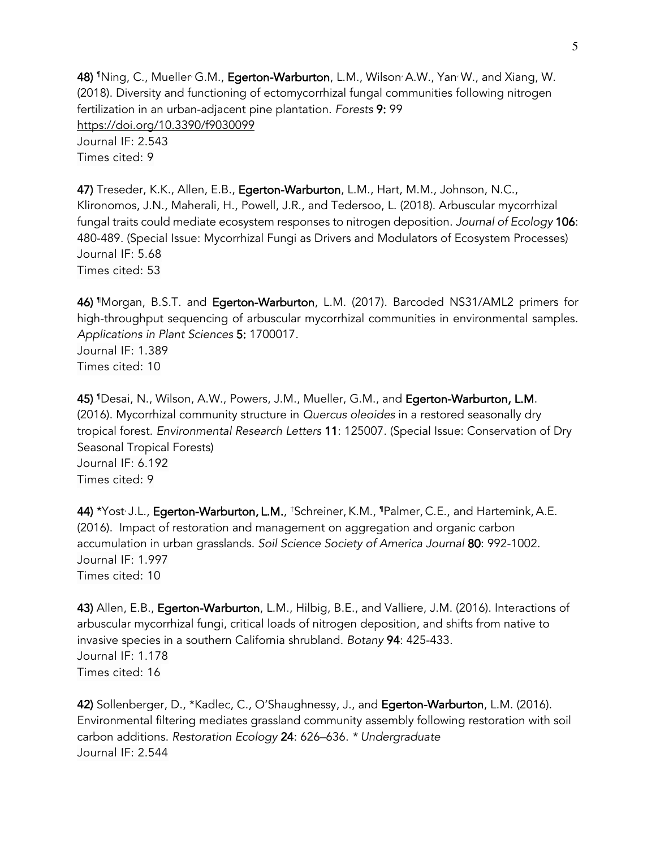**48) "**Ning, C., Mueller<sup>,</sup> G.M., **Egerton-Warburton**, L.M., Wilson<sup>,</sup> A.W., Yan<sup>,</sup> W., and Xiang, W. (2018). Diversity and functioning of ectomycorrhizal fungal communities following nitrogen fertilization in an urban-adjacent pine plantation. *Forests* 9: 99 https://doi.org/10.3390/f9030099 Journal IF: 2.543 Times cited: 9

47) Treseder, K.K., Allen, E.B., Egerton-Warburton, L.M., Hart, M.M., Johnson, N.C., Klironomos, J.N., Maherali, H., Powell, J.R., and Tedersoo, L. (2018). Arbuscular mycorrhizal fungal traits could mediate ecosystem responses to nitrogen deposition. *Journal of Ecology* 106: 480-489. (Special Issue: Mycorrhizal Fungi as Drivers and Modulators of Ecosystem Processes) Journal IF: 5.68 Times cited: 53

**46) 『**Morgan, B.S.T. and **Egerton-Warburton**, L.M. (2017). Barcoded NS31/AML2 primers for high-throughput sequencing of arbuscular mycorrhizal communities in environmental samples. *Applications in Plant Sciences* 5: 1700017. Journal IF: 1.389

Times cited: 10

45) ¶ Desai, N., Wilson, A.W., Powers, J.M., Mueller, G.M., and Egerton-Warburton, L.M. (2016). Mycorrhizal community structure in *Quercus oleoides* in a restored seasonally dry tropical forest. *Environmental Research Letters* 11: 125007. (Special Issue: Conservation of Dry Seasonal Tropical Forests) Journal IF: 6.192 Times cited: 9

44) \*Yost<sup>,</sup> J.L., **Egerton-Warburton, L.M.**, †Schreiner, K.M., ¶Palmer, C.E., and Hartemink, A.E. (2016). Impact of restoration and management on aggregation and organic carbon accumulation in urban grasslands. *Soil Science Society of America Journal* 80: 992-1002. Journal IF: 1.997 Times cited: 10

43) Allen, E.B., Egerton-Warburton, L.M., Hilbig, B.E., and Valliere, J.M. (2016). Interactions of arbuscular mycorrhizal fungi, critical loads of nitrogen deposition, and shifts from native to invasive species in a southern California shrubland. *Botany* 94: 425-433. Journal IF: 1.178 Times cited: 16

42) Sollenberger, D., \*Kadlec, C., O'Shaughnessy, J., and Egerton-Warburton, L.M. (2016). Environmental filtering mediates grassland community assembly following restoration with soil carbon additions. *Restoration Ecology* 24: 626–636. *\* Undergraduate*  Journal IF: 2.544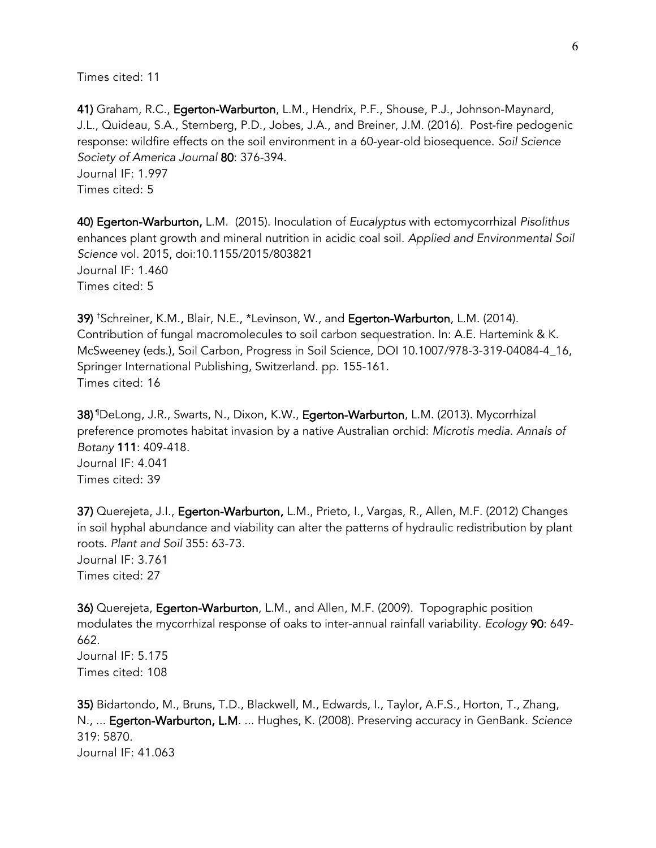41) Graham, R.C., Egerton-Warburton, L.M., Hendrix, P.F., Shouse, P.J., Johnson-Maynard, J.L., Quideau, S.A., Sternberg, P.D., Jobes, J.A., and Breiner, J.M. (2016). Post-fire pedogenic response: wildfire effects on the soil environment in a 60-year-old biosequence. *Soil Science Society of America Journal* 80: 376-394. Journal IF: 1.997 Times cited: 5

40) Egerton-Warburton, L.M. (2015). Inoculation of *Eucalyptus* with ectomycorrhizal *Pisolithus* enhances plant growth and mineral nutrition in acidic coal soil. *Applied and Environmental Soil Science* vol. 2015, doi:10.1155/2015/803821 Journal IF: 1.460 Times cited: 5

39) † Schreiner, K.M., Blair, N.E., \*Levinson, W., and Egerton-Warburton, L.M. (2014). Contribution of fungal macromolecules to soil carbon sequestration. In: A.E. Hartemink & K. McSweeney (eds.), Soil Carbon, Progress in Soil Science, DOI 10.1007/978-3-319-04084-4\_16, Springer International Publishing, Switzerland. pp. 155-161. Times cited: 16

**38)** <sup>¶</sup>DeLong, J.R., Swarts, N., Dixon, K.W., **Egerton-Warburton**, L.M. (2013). Mycorrhizal preference promotes habitat invasion by a native Australian orchid: *Microtis media*. *Annals of Botany* 111: 409-418. Journal IF: 4.041 Times cited: 39

37) Querejeta, J.I., Egerton-Warburton, L.M., Prieto, I., Vargas, R., Allen, M.F. (2012) Changes in soil hyphal abundance and viability can alter the patterns of hydraulic redistribution by plant roots. *Plant and Soil* 355: 63-73. Journal IF: 3.761 Times cited: 27

36) Querejeta, Egerton-Warburton, L.M., and Allen, M.F. (2009). Topographic position modulates the mycorrhizal response of oaks to inter-annual rainfall variability. *Ecology* 90: 649- 662. Journal IF: 5.175 Times cited: 108

35) Bidartondo, M., Bruns, T.D., Blackwell, M., Edwards, I., Taylor, A.F.S., Horton, T., Zhang, N., ... Egerton-Warburton, L.M. ... Hughes, K. (2008). Preserving accuracy in GenBank. *Science* 319: 5870. Journal IF: 41.063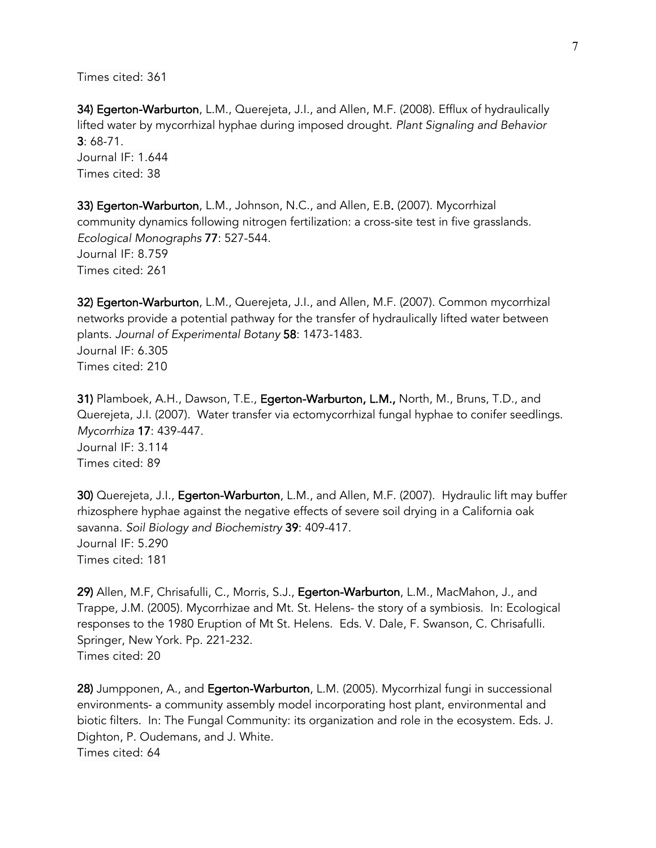34) Egerton-Warburton, L.M., Querejeta, J.I., and Allen, M.F. (2008). Efflux of hydraulically lifted water by mycorrhizal hyphae during imposed drought. *Plant Signaling and Behavior* 3: 68-71. Journal IF: 1.644 Times cited: 38

33) Egerton-Warburton, L.M., Johnson, N.C., and Allen, E.B. (2007). Mycorrhizal community dynamics following nitrogen fertilization: a cross-site test in five grasslands. *Ecological Monographs* 77: 527-544. Journal IF: 8.759 Times cited: 261

32) Egerton-Warburton, L.M., Querejeta, J.I., and Allen, M.F. (2007). Common mycorrhizal networks provide a potential pathway for the transfer of hydraulically lifted water between plants. *Journal of Experimental Botany* 58: 1473-1483. Journal IF: 6.305 Times cited: 210

31) Plamboek, A.H., Dawson, T.E., Egerton-Warburton, L.M., North, M., Bruns, T.D., and Querejeta, J.I. (2007). Water transfer via ectomycorrhizal fungal hyphae to conifer seedlings. *Mycorrhiza* 17: 439-447. Journal IF: 3.114 Times cited: 89

30) Querejeta, J.I., Egerton-Warburton, L.M., and Allen, M.F. (2007). Hydraulic lift may buffer rhizosphere hyphae against the negative effects of severe soil drying in a California oak savanna. *Soil Biology and Biochemistry* 39: 409-417. Journal IF: 5.290 Times cited: 181

29) Allen, M.F, Chrisafulli, C., Morris, S.J., Egerton-Warburton, L.M., MacMahon, J., and Trappe, J.M. (2005). Mycorrhizae and Mt. St. Helens- the story of a symbiosis. In: Ecological responses to the 1980 Eruption of Mt St. Helens. Eds. V. Dale, F. Swanson, C. Chrisafulli. Springer, New York. Pp. 221-232. Times cited: 20

28) Jumpponen, A., and Egerton-Warburton, L.M. (2005). Mycorrhizal fungi in successional environments- a community assembly model incorporating host plant, environmental and biotic filters. In: The Fungal Community: its organization and role in the ecosystem. Eds. J. Dighton, P. Oudemans, and J. White. Times cited: 64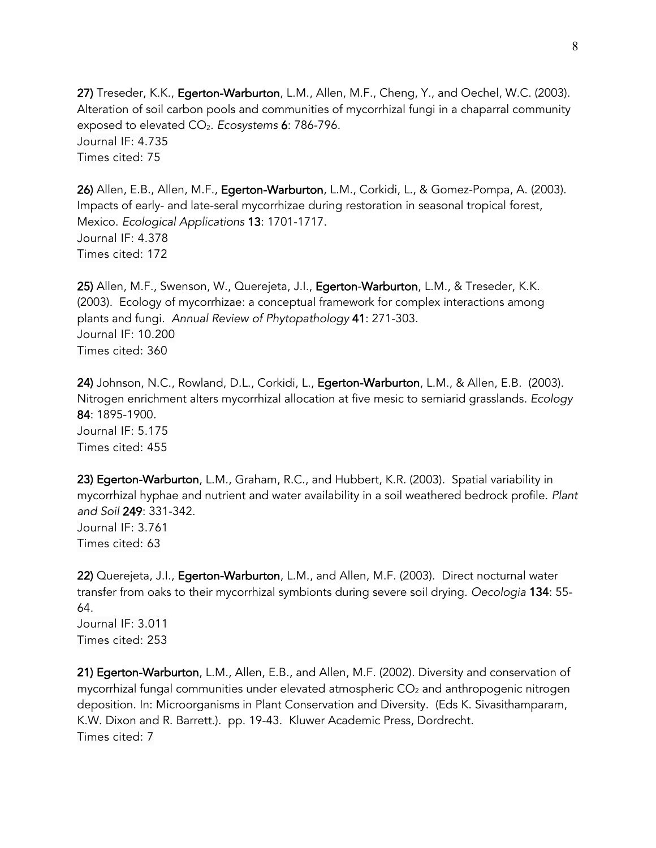27) Treseder, K.K., Egerton-Warburton, L.M., Allen, M.F., Cheng, Y., and Oechel, W.C. (2003). Alteration of soil carbon pools and communities of mycorrhizal fungi in a chaparral community exposed to elevated CO2. *Ecosystems* 6: 786-796. Journal IF: 4.735 Times cited: 75

26) Allen, E.B., Allen, M.F., Egerton-Warburton, L.M., Corkidi, L., & Gomez-Pompa, A. (2003). Impacts of early- and late-seral mycorrhizae during restoration in seasonal tropical forest, Mexico. *Ecological Applications* 13: 1701-1717. Journal IF: 4.378 Times cited: 172

25) Allen, M.F., Swenson, W., Querejeta, J.I., Egerton-Warburton, L.M., & Treseder, K.K. (2003). Ecology of mycorrhizae: a conceptual framework for complex interactions among plants and fungi. *Annual Review of Phytopathology* 41: 271-303. Journal IF: 10.200 Times cited: 360

24) Johnson, N.C., Rowland, D.L., Corkidi, L., Egerton-Warburton, L.M., & Allen, E.B. (2003). Nitrogen enrichment alters mycorrhizal allocation at five mesic to semiarid grasslands. *Ecology* 84: 1895-1900*.* Journal IF: 5.175 Times cited: 455

23) Egerton-Warburton, L.M., Graham, R.C., and Hubbert, K.R. (2003). Spatial variability in mycorrhizal hyphae and nutrient and water availability in a soil weathered bedrock profile. *Plant and Soil* 249: 331-342. Journal IF: 3.761 Times cited: 63

22) Querejeta, J.I., Egerton-Warburton, L.M., and Allen, M.F. (2003). Direct nocturnal water transfer from oaks to their mycorrhizal symbionts during severe soil drying. *Oecologia* 134: 55- 64. Journal IF: 3.011

Times cited: 253

21) Egerton-Warburton, L.M., Allen, E.B., and Allen, M.F. (2002). Diversity and conservation of mycorrhizal fungal communities under elevated atmospheric  $CO<sub>2</sub>$  and anthropogenic nitrogen deposition. In: Microorganisms in Plant Conservation and Diversity. (Eds K. Sivasithamparam, K.W. Dixon and R. Barrett.). pp. 19-43. Kluwer Academic Press, Dordrecht. Times cited: 7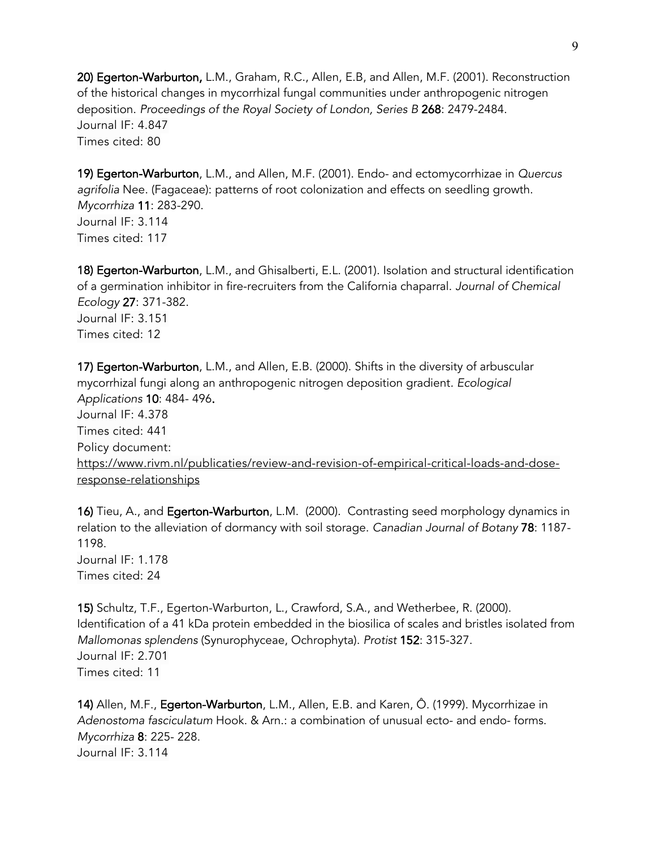20) Egerton-Warburton, L.M., Graham, R.C., Allen, E.B, and Allen, M.F. (2001). Reconstruction of the historical changes in mycorrhizal fungal communities under anthropogenic nitrogen deposition. *Proceedings of the Royal Society of London, Series B* 268: 2479-2484. Journal IF: 4.847 Times cited: 80

19) Egerton-Warburton, L.M., and Allen, M.F. (2001). Endo- and ectomycorrhizae in *Quercus agrifolia* Nee. (Fagaceae): patterns of root colonization and effects on seedling growth. *Mycorrhiza* 11: 283-290. Journal IF: 3.114 Times cited: 117

18) Egerton-Warburton, L.M., and Ghisalberti, E.L. (2001). Isolation and structural identification of a germination inhibitor in fire-recruiters from the California chaparral. *Journal of Chemical Ecology* 27: 371-382. Journal IF: 3.151 Times cited: 12

17) Egerton-Warburton, L.M., and Allen, E.B. (2000). Shifts in the diversity of arbuscular mycorrhizal fungi along an anthropogenic nitrogen deposition gradient*. Ecological Applications* 10: 484- 496. Journal IF: 4.378 Times cited: 441 Policy document: https://www.rivm.nl/publicaties/review-and-revision-of-empirical-critical-loads-and-doseresponse-relationships

16) Tieu, A., and Egerton-Warburton, L.M. (2000). Contrasting seed morphology dynamics in relation to the alleviation of dormancy with soil storage. *Canadian Journal of Botany* 78: 1187- 1198. Journal IF: 1.178 Times cited: 24

15) Schultz, T.F., Egerton-Warburton, L., Crawford, S.A., and Wetherbee, R. (2000). Identification of a 41 kDa protein embedded in the biosilica of scales and bristles isolated from *Mallomonas splendens* (Synurophyceae, Ochrophyta). *Protist* 152: 315-327. Journal IF: 2.701 Times cited: 11

14) Allen, M.F., Egerton-Warburton, L.M., Allen, E.B. and Karen, Ô. (1999). Mycorrhizae in *Adenostoma fasciculatum* Hook. & Arn.: a combination of unusual ecto- and endo- forms. *Mycorrhiza* 8: 225- 228. Journal IF: 3.114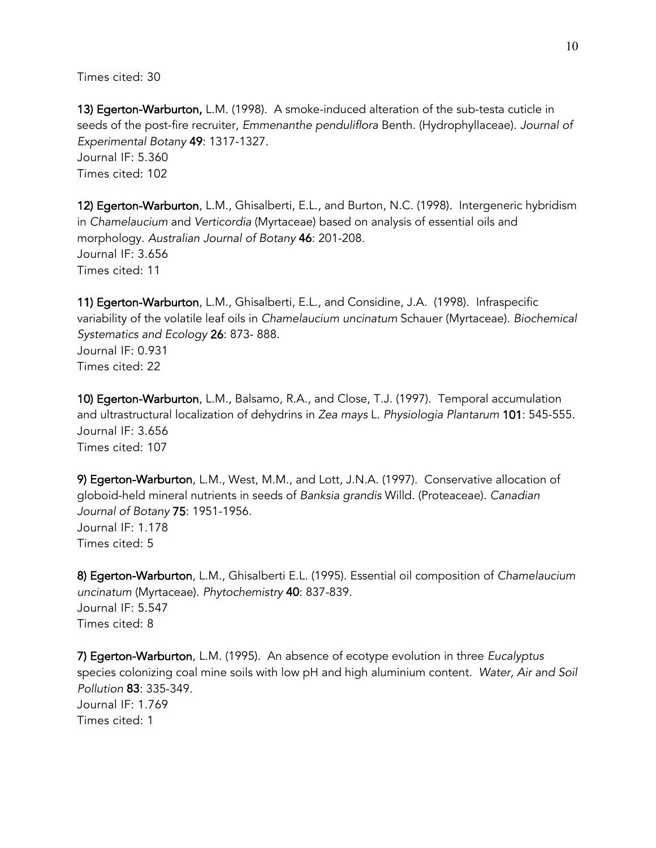13) Egerton-Warburton, L.M. (1998). A smoke-induced alteration of the sub-testa cuticle in seeds of the post-fire recruiter, *Emmenanthe penduliflora* Benth. (Hydrophyllaceae). *Journal of Experimental Botany* 49: 1317-1327. Journal IF: 5.360 Times cited: 102

12) Egerton-Warburton, L.M., Ghisalberti, E.L., and Burton, N.C. (1998). Intergeneric hybridism in *Chamelaucium* and *Verticordia* (Myrtaceae) based on analysis of essential oils and morphology. *Australian Journal of Botany* 46: 201-208. Journal IF: 3.656 Times cited: 11

11) Egerton-Warburton, L.M., Ghisalberti, E.L., and Considine, J.A. (1998). Infraspecific variability of the volatile leaf oils in *Chamelaucium uncinatum* Schauer (Myrtaceae). *Biochemical Systematics and Ecology* 26: 873- 888. Journal IF: 0.931 Times cited: 22

10) Egerton-Warburton, L.M., Balsamo, R.A., and Close, T.J. (1997). Temporal accumulation and ultrastructural localization of dehydrins in *Zea mays* L. *Physiologia Plantarum* 101: 545-555. Journal IF: 3.656 Times cited: 107

9) Egerton-Warburton, L.M., West, M.M., and Lott, J.N.A. (1997). Conservative allocation of globoid-held mineral nutrients in seeds of *Banksia grandis* Willd. (Proteaceae). *Canadian Journal of Botany* 75: 1951-1956. Journal IF: 1.178 Times cited: 5

8) Egerton-Warburton, L.M., Ghisalberti E.L. (1995). Essential oil composition of *Chamelaucium uncinatum* (Myrtaceae). *Phytochemistry* 40: 837-839. Journal IF: 5.547 Times cited: 8

7) Egerton-Warburton, L.M. (1995). An absence of ecotype evolution in three *Eucalyptus* species colonizing coal mine soils with low pH and high aluminium content*. Water, Air and Soil Pollution* 83: 335-349. Journal IF: 1.769 Times cited: 1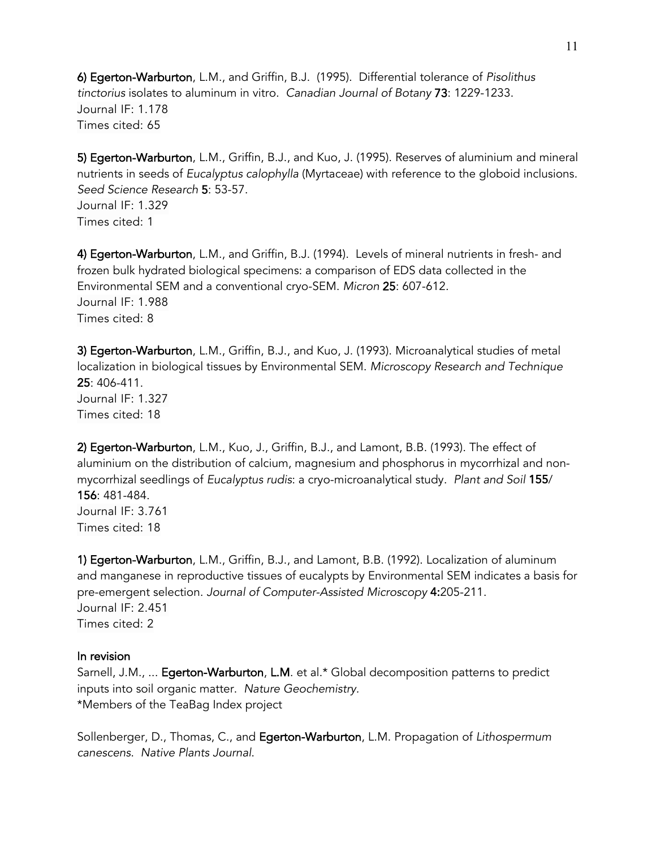6) Egerton-Warburton, L.M., and Griffin, B.J. (1995). Differential tolerance of *Pisolithus tinctorius* isolates to aluminum in vitro. *Canadian Journal of Botany* 73: 1229-1233. Journal IF: 1.178 Times cited: 65

5) Egerton-Warburton, L.M., Griffin, B.J., and Kuo, J. (1995). Reserves of aluminium and mineral nutrients in seeds of *Eucalyptus calophylla* (Myrtaceae) with reference to the globoid inclusions. *Seed Science Research* 5: 53-57. Journal IF: 1.329 Times cited: 1

4) Egerton-Warburton, L.M., and Griffin, B.J. (1994). Levels of mineral nutrients in fresh- and frozen bulk hydrated biological specimens: a comparison of EDS data collected in the Environmental SEM and a conventional cryo-SEM. *Micron* 25: 607-612*.*  Journal IF: 1.988 Times cited: 8

3) Egerton-Warburton, L.M., Griffin, B.J., and Kuo, J. (1993). Microanalytical studies of metal localization in biological tissues by Environmental SEM. *Microscopy Research and Technique* 25: 406-411. Journal IF: 1.327 Times cited: 18

2) Egerton-Warburton, L.M., Kuo, J., Griffin, B.J., and Lamont, B.B. (1993). The effect of aluminium on the distribution of calcium, magnesium and phosphorus in mycorrhizal and nonmycorrhizal seedlings of *Eucalyptus rudis*: a cryo-microanalytical study. *Plant and Soil* 155/ 156: 481-484. Journal IF: 3.761 Times cited: 18

1) Egerton-Warburton, L.M., Griffin, B.J., and Lamont, B.B. (1992). Localization of aluminum and manganese in reproductive tissues of eucalypts by Environmental SEM indicates a basis for pre-emergent selection. *Journal of Computer-Assisted Microscopy* 4:205-211. Journal IF: 2.451 Times cited: 2

#### In revision

Sarnell, J.M., ... Egerton-Warburton, L.M. et al.\* Global decomposition patterns to predict inputs into soil organic matter. *Nature Geochemistry.* \*Members of the TeaBag Index project

Sollenberger, D., Thomas, C., and Egerton-Warburton, L.M. Propagation of *Lithospermum canescens*. *Native Plants Journal*.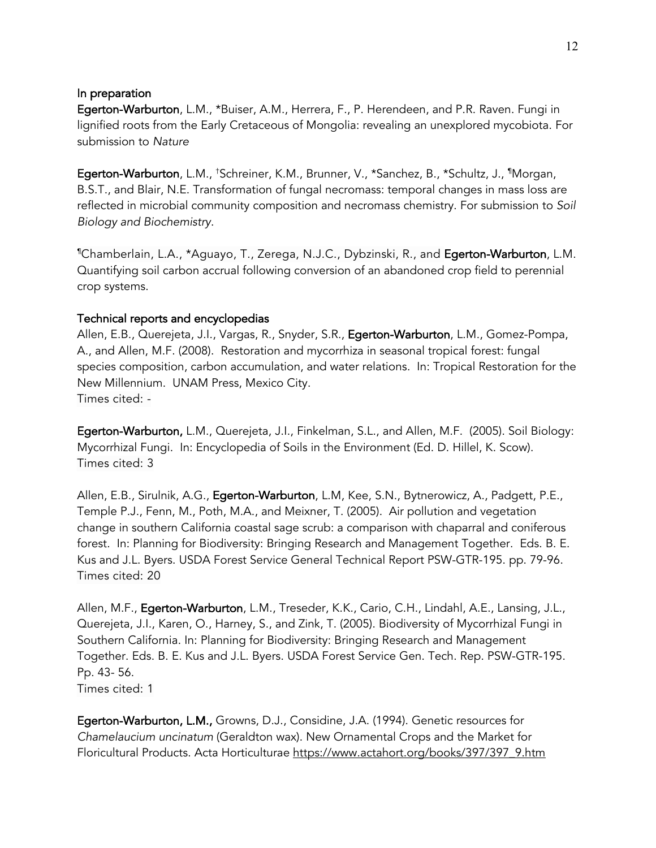#### In preparation

Egerton-Warburton, L.M., \*Buiser, A.M., Herrera, F., P. Herendeen, and P.R. Raven. Fungi in lignified roots from the Early Cretaceous of Mongolia: revealing an unexplored mycobiota. For submission to *Nature*

**Egerton-Warburton**, L.M., †Schreiner, K.M., Brunner, V., \*Sanchez, B., \*Schultz, J., ¶Morgan, B.S.T., and Blair, N.E. Transformation of fungal necromass: temporal changes in mass loss are reflected in microbial community composition and necromass chemistry. For submission to *Soil Biology and Biochemistry*.

¶ Chamberlain, L.A., \*Aguayo, T., Zerega, N.J.C., Dybzinski, R., and Egerton-Warburton, L.M. Quantifying soil carbon accrual following conversion of an abandoned crop field to perennial crop systems.

#### Technical reports and encyclopedias

Allen, E.B., Querejeta, J.I., Vargas, R., Snyder, S.R., Egerton-Warburton, L.M., Gomez-Pompa, A., and Allen, M.F. (2008). Restoration and mycorrhiza in seasonal tropical forest: fungal species composition, carbon accumulation, and water relations. In: Tropical Restoration for the New Millennium. UNAM Press, Mexico City. Times cited: -

Egerton-Warburton, L.M., Querejeta, J.I., Finkelman, S.L., and Allen, M.F. (2005). Soil Biology: Mycorrhizal Fungi. In: Encyclopedia of Soils in the Environment (Ed. D. Hillel, K. Scow). Times cited: 3

Allen, E.B., Sirulnik, A.G., Egerton-Warburton, L.M, Kee, S.N., Bytnerowicz, A., Padgett, P.E., Temple P.J., Fenn, M., Poth, M.A., and Meixner, T. (2005). Air pollution and vegetation change in southern California coastal sage scrub: a comparison with chaparral and coniferous forest. In: Planning for Biodiversity: Bringing Research and Management Together. Eds. B. E. Kus and J.L. Byers. USDA Forest Service General Technical Report PSW-GTR-195. pp. 79-96. Times cited: 20

Allen, M.F., Egerton-Warburton, L.M., Treseder, K.K., Cario, C.H., Lindahl, A.E., Lansing, J.L., Querejeta, J.I., Karen, O., Harney, S., and Zink, T. (2005). Biodiversity of Mycorrhizal Fungi in Southern California. In: Planning for Biodiversity: Bringing Research and Management Together. Eds. B. E. Kus and J.L. Byers. USDA Forest Service Gen. Tech. Rep. PSW-GTR-195. Pp. 43- 56. Times cited: 1

Egerton-Warburton, L.M., Growns, D.J., Considine, J.A. (1994). Genetic resources for *Chamelaucium uncinatum* (Geraldton wax). New Ornamental Crops and the Market for Floricultural Products. Acta Horticulturae https://www.actahort.org/books/397/397\_9.htm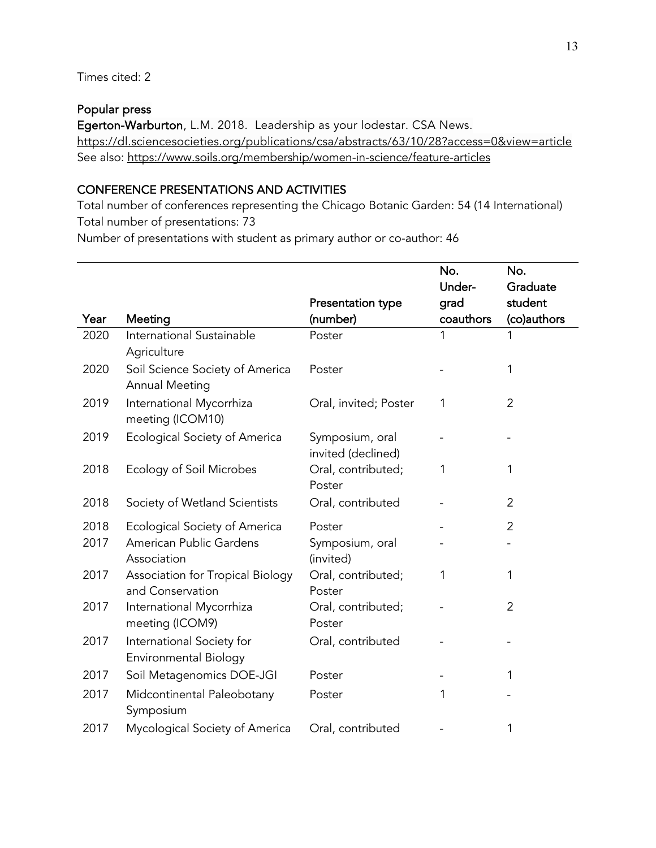#### Popular press

Egerton-Warburton, L.M. 2018. Leadership as your lodestar. CSA News. https://dl.sciencesocieties.org/publications/csa/abstracts/63/10/28?access=0&view=article See also: https://www.soils.org/membership/women-in-science/feature-articles

# CONFERENCE PRESENTATIONS AND ACTIVITIES

Total number of conferences representing the Chicago Botanic Garden: 54 (14 International) Total number of presentations: 73

Number of presentations with student as primary author or co-author: 46

|      |                                                           |                                       | No.       | No.            |
|------|-----------------------------------------------------------|---------------------------------------|-----------|----------------|
|      |                                                           |                                       | Under-    | Graduate       |
|      |                                                           | Presentation type                     | grad      | student        |
| Year | Meeting                                                   | (number)                              | coauthors | (co)authors    |
| 2020 | International Sustainable<br>Agriculture                  | Poster                                | 1         | 1              |
| 2020 | Soil Science Society of America<br>Annual Meeting         | Poster                                |           | 1              |
| 2019 | International Mycorrhiza<br>meeting (ICOM10)              | Oral, invited; Poster                 | 1         | $\overline{2}$ |
| 2019 | <b>Ecological Society of America</b>                      | Symposium, oral<br>invited (declined) |           |                |
| 2018 | Ecology of Soil Microbes                                  | Oral, contributed;<br>Poster          | 1         | 1              |
| 2018 | Society of Wetland Scientists                             | Oral, contributed                     |           | 2              |
| 2018 | <b>Ecological Society of America</b>                      | Poster                                |           | $\overline{2}$ |
| 2017 | American Public Gardens<br>Association                    | Symposium, oral<br>(invited)          |           |                |
| 2017 | Association for Tropical Biology<br>and Conservation      | Oral, contributed;<br>Poster          | 1         | 1              |
| 2017 | International Mycorrhiza<br>meeting (ICOM9)               | Oral, contributed;<br>Poster          |           | $\overline{2}$ |
| 2017 | International Society for<br><b>Environmental Biology</b> | Oral, contributed                     |           |                |
| 2017 | Soil Metagenomics DOE-JGI                                 | Poster                                |           | 1              |
| 2017 | Midcontinental Paleobotany<br>Symposium                   | Poster                                | 1         |                |
| 2017 | Mycological Society of America                            | Oral, contributed                     |           | 1              |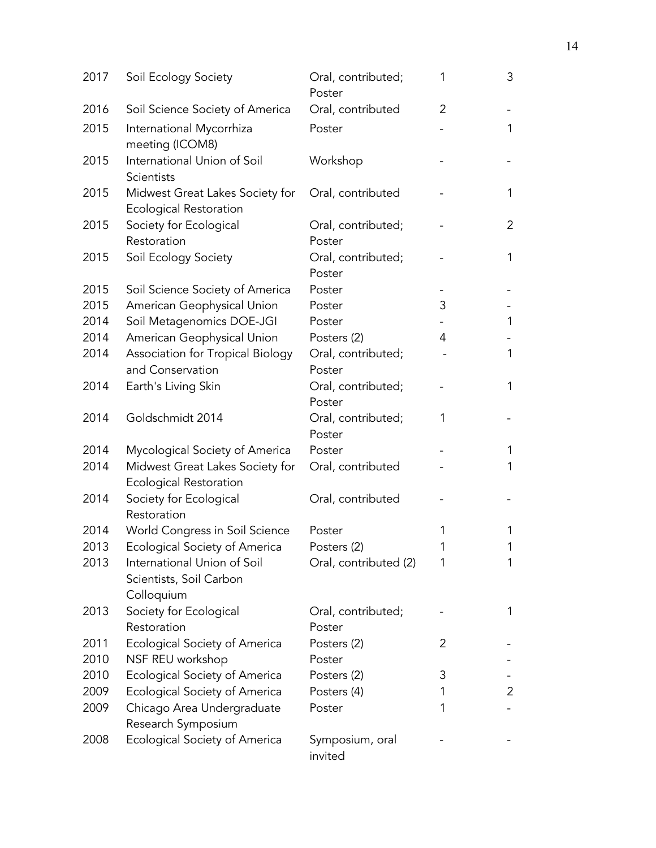| 2017 | Soil Ecology Society                                                 | Oral, contributed;<br>Poster | 1 | 3              |
|------|----------------------------------------------------------------------|------------------------------|---|----------------|
| 2016 | Soil Science Society of America                                      | Oral, contributed            | 2 |                |
| 2015 | International Mycorrhiza<br>meeting (ICOM8)                          | Poster                       |   | 1              |
| 2015 | International Union of Soil<br>Scientists                            | Workshop                     |   |                |
| 2015 | Midwest Great Lakes Society for<br><b>Ecological Restoration</b>     | Oral, contributed            |   | 1              |
| 2015 | Society for Ecological                                               | Oral, contributed;           |   | $\overline{c}$ |
|      | Restoration                                                          | Poster                       |   |                |
| 2015 | Soil Ecology Society                                                 | Oral, contributed;<br>Poster |   | 1              |
| 2015 | Soil Science Society of America                                      | Poster                       |   |                |
| 2015 | American Geophysical Union                                           | Poster                       | 3 |                |
| 2014 | Soil Metagenomics DOE-JGI                                            | Poster                       |   | 1              |
| 2014 | American Geophysical Union                                           | Posters (2)                  | 4 |                |
| 2014 | Association for Tropical Biology                                     | Oral, contributed;           |   | $\mathbf 1$    |
|      | and Conservation                                                     | Poster                       |   |                |
| 2014 | Earth's Living Skin                                                  | Oral, contributed;<br>Poster |   | $\mathbf 1$    |
| 2014 | Goldschmidt 2014                                                     | Oral, contributed;<br>Poster | 1 |                |
| 2014 | Mycological Society of America                                       | Poster                       |   | 1              |
| 2014 | Midwest Great Lakes Society for<br><b>Ecological Restoration</b>     | Oral, contributed            |   | 1              |
| 2014 | Society for Ecological<br>Restoration                                | Oral, contributed            |   |                |
| 2014 | World Congress in Soil Science                                       | Poster                       | 1 | 1              |
| 2013 | <b>Ecological Society of America</b>                                 | Posters (2)                  | 1 | 1              |
| 2013 | International Union of Soil<br>Scientists, Soil Carbon<br>Colloquium | Oral, contributed (2)        | 1 | 1              |
| 2013 | Society for Ecological<br>Restoration                                | Oral, contributed;<br>Poster |   | 1              |
| 2011 | Ecological Society of America                                        | Posters (2)                  | 2 |                |
| 2010 | NSF REU workshop                                                     | Poster                       |   |                |
| 2010 | <b>Ecological Society of America</b>                                 | Posters (2)                  | 3 |                |
| 2009 | <b>Ecological Society of America</b>                                 | Posters (4)                  | 1 | 2              |
| 2009 | Chicago Area Undergraduate<br>Research Symposium                     | Poster                       | 1 |                |
| 2008 | <b>Ecological Society of America</b>                                 | Symposium, oral<br>invited   |   |                |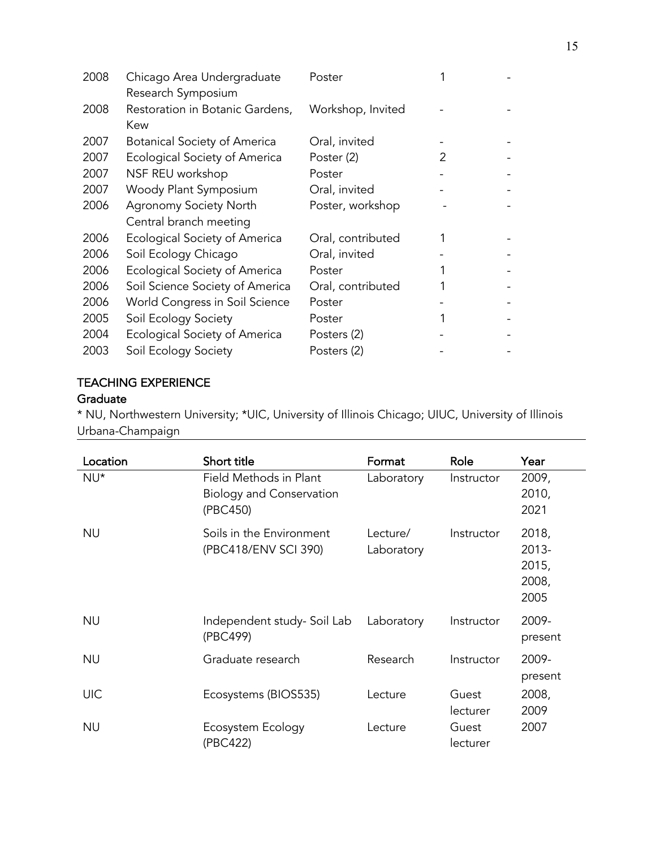| 2008 | Chicago Area Undergraduate           | Poster            |               |   |
|------|--------------------------------------|-------------------|---------------|---|
|      | Research Symposium                   |                   |               |   |
| 2008 | Restoration in Botanic Gardens,      | Workshop, Invited |               |   |
|      | Kew                                  |                   |               |   |
| 2007 | <b>Botanical Society of America</b>  | Oral, invited     |               |   |
| 2007 | Ecological Society of America        | Poster (2)        | $\mathcal{P}$ |   |
| 2007 | NSF REU workshop                     | Poster            |               | - |
| 2007 | Woody Plant Symposium                | Oral, invited     |               |   |
| 2006 | <b>Agronomy Society North</b>        | Poster, workshop  |               |   |
|      | Central branch meeting               |                   |               |   |
| 2006 | <b>Ecological Society of America</b> | Oral, contributed |               |   |
| 2006 | Soil Ecology Chicago                 | Oral, invited     |               |   |
| 2006 | Ecological Society of America        | Poster            |               |   |
| 2006 | Soil Science Society of America      | Oral, contributed |               |   |
| 2006 | World Congress in Soil Science       | Poster            |               |   |
| 2005 | Soil Ecology Society                 | Poster            |               |   |
| 2004 | <b>Ecological Society of America</b> | Posters (2)       |               |   |
| 2003 | Soil Ecology Society                 | Posters (2)       |               |   |

#### TEACHING EXPERIENCE

# **Graduate**

\* NU, Northwestern University; \*UIC, University of Illinois Chicago; UIUC, University of Illinois Urbana-Champaign

| Location   | Short title                                                           | Format                 | Role              | Year                                     |
|------------|-----------------------------------------------------------------------|------------------------|-------------------|------------------------------------------|
| NU*        | Field Methods in Plant<br><b>Biology and Conservation</b><br>(PBC450) | Laboratory             | Instructor        | 2009,<br>2010,<br>2021                   |
| <b>NU</b>  | Soils in the Environment<br>(PBC418/ENV SCI 390)                      | Lecture/<br>Laboratory | Instructor        | 2018,<br>2013-<br>2015,<br>2008,<br>2005 |
| <b>NU</b>  | Independent study- Soil Lab<br>(PBC499)                               | Laboratory             | Instructor        | 2009-<br>present                         |
| <b>NU</b>  | Graduate research                                                     | Research               | Instructor        | 2009-<br>present                         |
| <b>UIC</b> | Ecosystems (BIOS535)                                                  | Lecture                | Guest<br>lecturer | 2008,<br>2009                            |
| <b>NU</b>  | Ecosystem Ecology<br>(PBC422)                                         | Lecture                | Guest<br>lecturer | 2007                                     |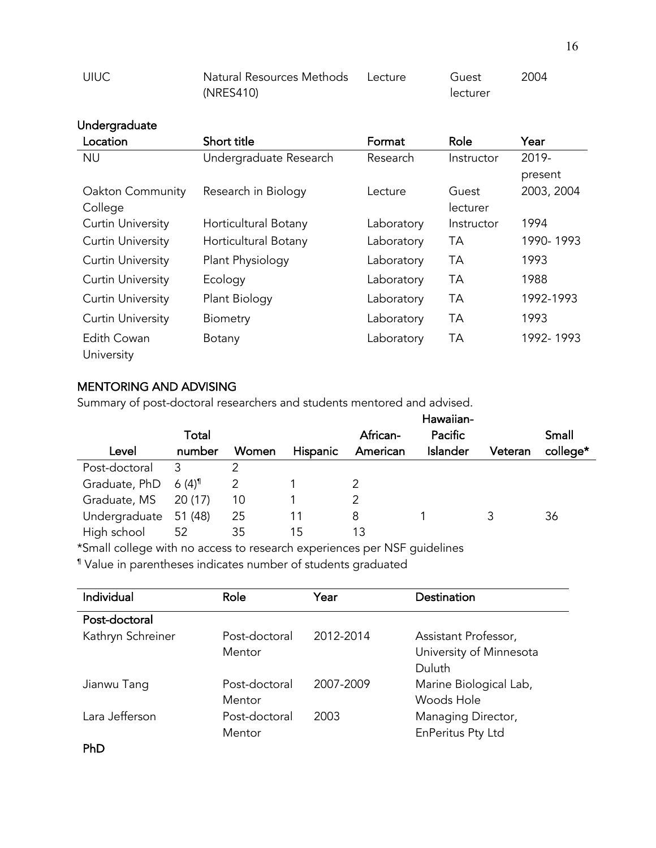| <b>UIUC</b> | Natural Resources Methods Lecture | Guest    | 2004 |
|-------------|-----------------------------------|----------|------|
|             | (NRES410)                         | lecturer |      |

# Undergraduate

| Location                 | Short title            | Format     | Role       | Year       |
|--------------------------|------------------------|------------|------------|------------|
| <b>NU</b>                | Undergraduate Research | Research   | Instructor | 2019-      |
|                          |                        |            |            | present    |
| Oakton Community         | Research in Biology    | Lecture    | Guest      | 2003, 2004 |
| College                  |                        |            | lecturer   |            |
| <b>Curtin University</b> | Horticultural Botany   | Laboratory | Instructor | 1994       |
| <b>Curtin University</b> | Horticultural Botany   | Laboratory | ТA         | 1990-1993  |
| <b>Curtin University</b> | Plant Physiology       | Laboratory | <b>TA</b>  | 1993       |
| <b>Curtin University</b> | Ecology                | Laboratory | <b>TA</b>  | 1988       |
| <b>Curtin University</b> | Plant Biology          | Laboratory | <b>TA</b>  | 1992-1993  |
| <b>Curtin University</b> | <b>Biometry</b>        | Laboratory | ТA         | 1993       |
| Edith Cowan              | Botany                 | Laboratory | TА         | 1992-1993  |
| University               |                        |            |            |            |

#### MENTORING AND ADVISING

Summary of post-doctoral researchers and students mentored and advised.

| Small    |
|----------|
| college* |
|          |
|          |
|          |
|          |
|          |
|          |

\*Small college with no access to research experiences per NSF guidelines

¶ Value in parentheses indicates number of students graduated

| Individual        | Role                    | Year      | Destination                                               |
|-------------------|-------------------------|-----------|-----------------------------------------------------------|
| Post-doctoral     |                         |           |                                                           |
| Kathryn Schreiner | Post-doctoral<br>Mentor | 2012-2014 | Assistant Professor,<br>University of Minnesota<br>Duluth |
| Jianwu Tang       | Post-doctoral<br>Mentor | 2007-2009 | Marine Biological Lab,<br>Woods Hole                      |
| Lara Jefferson    | Post-doctoral<br>Mentor | 2003      | Managing Director,<br>EnPeritus Pty Ltd                   |
| PhD               |                         |           |                                                           |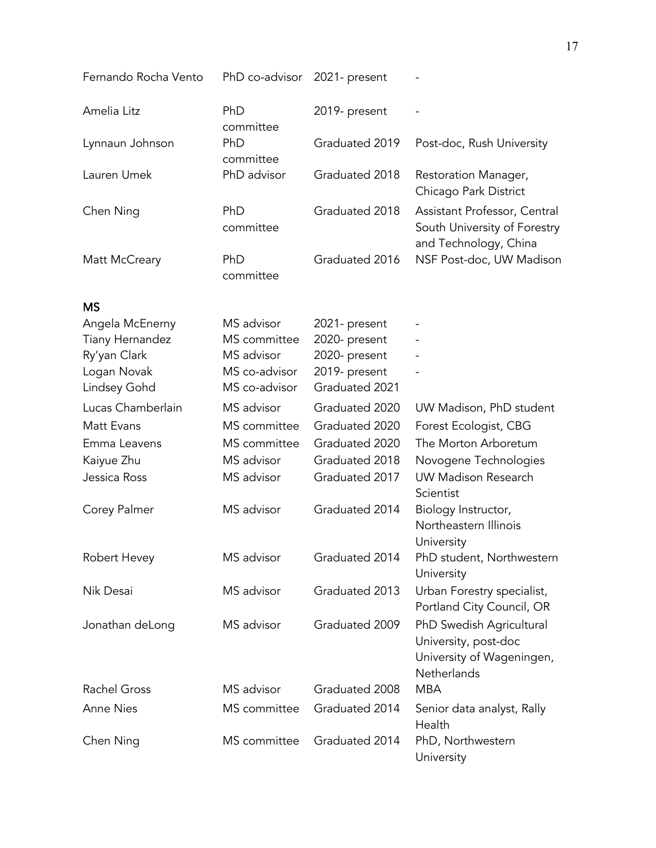| Fernando Rocha Vento                      | PhD co-advisor 2021- present |                                |                                                                                              |
|-------------------------------------------|------------------------------|--------------------------------|----------------------------------------------------------------------------------------------|
| Amelia Litz                               | PhD<br>committee             | 2019- present                  |                                                                                              |
| Lynnaun Johnson                           | PhD<br>committee             | Graduated 2019                 | Post-doc, Rush University                                                                    |
| Lauren Umek                               | PhD advisor                  | Graduated 2018                 | Restoration Manager,<br>Chicago Park District                                                |
| Chen Ning                                 | PhD<br>committee             | Graduated 2018                 | Assistant Professor, Central<br>South University of Forestry<br>and Technology, China        |
| Matt McCreary                             | PhD<br>committee             | Graduated 2016                 | NSF Post-doc, UW Madison                                                                     |
| <b>MS</b>                                 |                              |                                |                                                                                              |
| Angela McEnerny<br><b>Tiany Hernandez</b> | MS advisor<br>MS committee   | 2021- present<br>2020- present |                                                                                              |
| Ry'yan Clark                              | MS advisor                   | 2020- present                  |                                                                                              |
| Logan Novak                               | MS co-advisor                | 2019- present                  |                                                                                              |
| Lindsey Gohd                              | MS co-advisor                | Graduated 2021                 |                                                                                              |
| Lucas Chamberlain                         | MS advisor                   | Graduated 2020                 | UW Madison, PhD student                                                                      |
| Matt Evans                                | MS committee                 | Graduated 2020                 | Forest Ecologist, CBG                                                                        |
| Emma Leavens                              | MS committee                 | Graduated 2020                 | The Morton Arboretum                                                                         |
| Kaiyue Zhu                                | MS advisor                   | Graduated 2018                 | Novogene Technologies                                                                        |
| Jessica Ross                              | MS advisor                   | Graduated 2017                 | <b>UW Madison Research</b><br>Scientist                                                      |
| Corey Palmer                              | MS advisor                   | Graduated 2014                 | Biology Instructor,<br>Northeastern Illinois<br>University                                   |
| Robert Hevey                              | MS advisor                   | Graduated 2014                 | PhD student, Northwestern<br>University                                                      |
| Nik Desai                                 | MS advisor                   | Graduated 2013                 | Urban Forestry specialist,<br>Portland City Council, OR                                      |
| Jonathan deLong                           | MS advisor                   | Graduated 2009                 | PhD Swedish Agricultural<br>University, post-doc<br>University of Wageningen,<br>Netherlands |
| <b>Rachel Gross</b>                       | MS advisor                   | Graduated 2008                 | <b>MBA</b>                                                                                   |
| <b>Anne Nies</b>                          | MS committee                 | Graduated 2014                 | Senior data analyst, Rally<br>Health                                                         |
| Chen Ning                                 | MS committee                 | Graduated 2014                 | PhD, Northwestern<br>University                                                              |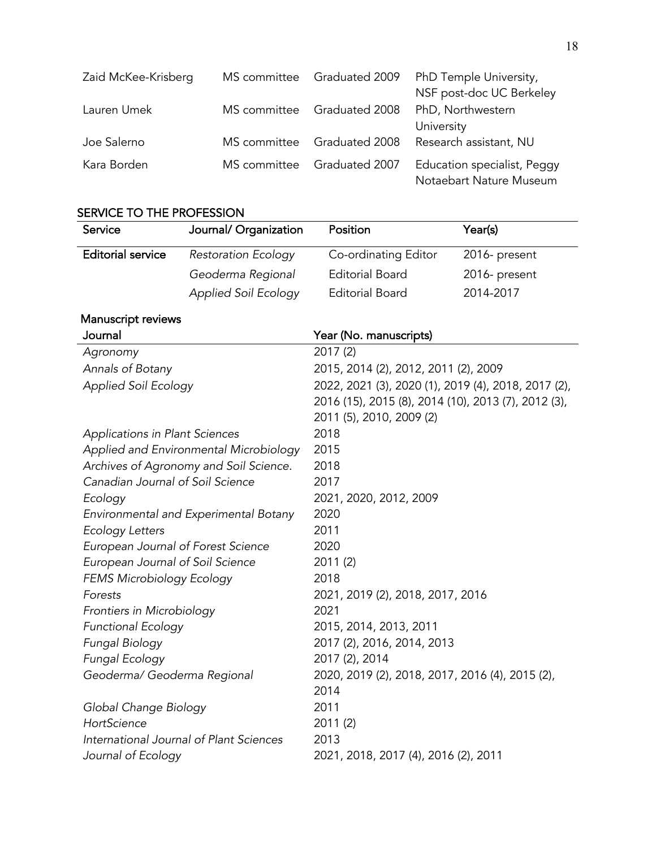| Zaid McKee-Krisberg |              | MS committee Graduated 2009 | PhD Temple University,                                 |
|---------------------|--------------|-----------------------------|--------------------------------------------------------|
|                     |              |                             | NSF post-doc UC Berkeley                               |
| Lauren Umek         | MS committee | Graduated 2008              | PhD, Northwestern                                      |
|                     |              |                             | University                                             |
| Joe Salerno         | MS committee | Graduated 2008              | Research assistant, NU                                 |
| Kara Borden         | MS committee | Graduated 2007              | Education specialist, Peggy<br>Notaebart Nature Museum |

# SERVICE TO THE PROFESSION

| Service                            | Journal/ Organization                   | Position                                                | Year(s)       |
|------------------------------------|-----------------------------------------|---------------------------------------------------------|---------------|
| <b>Editorial service</b>           | <b>Restoration Ecology</b>              | Co-ordinating Editor                                    | 2016- present |
|                                    | Geoderma Regional                       | <b>Editorial Board</b>                                  | 2016- present |
|                                    | <b>Applied Soil Ecology</b>             | <b>Editorial Board</b>                                  | 2014-2017     |
| Manuscript reviews                 |                                         |                                                         |               |
| Journal                            |                                         | Year (No. manuscripts)                                  |               |
| Agronomy                           |                                         | 2017 (2)                                                |               |
| Annals of Botany                   |                                         | 2015, 2014 (2), 2012, 2011 (2), 2009                    |               |
| <b>Applied Soil Ecology</b>        |                                         | 2022, 2021 (3), 2020 (1), 2019 (4), 2018, 2017 (2),     |               |
|                                    |                                         | 2016 (15), 2015 (8), 2014 (10), 2013 (7), 2012 (3),     |               |
|                                    |                                         | 2011 (5), 2010, 2009 (2)                                |               |
| Applications in Plant Sciences     |                                         | 2018                                                    |               |
|                                    | Applied and Environmental Microbiology  | 2015                                                    |               |
|                                    | Archives of Agronomy and Soil Science.  | 2018                                                    |               |
| Canadian Journal of Soil Science   |                                         | 2017                                                    |               |
| Ecology                            |                                         | 2021, 2020, 2012, 2009                                  |               |
|                                    | Environmental and Experimental Botany   | 2020                                                    |               |
| <b>Ecology Letters</b>             |                                         | 2011                                                    |               |
| European Journal of Forest Science |                                         | 2020                                                    |               |
| European Journal of Soil Science   |                                         | 2011 (2)                                                |               |
| FEMS Microbiology Ecology          |                                         | 2018                                                    |               |
| Forests                            |                                         | 2021, 2019 (2), 2018, 2017, 2016                        |               |
| Frontiers in Microbiology          |                                         | 2021                                                    |               |
| <b>Functional Ecology</b>          |                                         | 2015, 2014, 2013, 2011                                  |               |
| Fungal Biology                     |                                         | 2017 (2), 2016, 2014, 2013                              |               |
| Fungal Ecology                     |                                         | 2017 (2), 2014                                          |               |
| Geoderma/ Geoderma Regional        |                                         | 2020, 2019 (2), 2018, 2017, 2016 (4), 2015 (2),<br>2014 |               |
| Global Change Biology              |                                         | 2011                                                    |               |
| HortScience                        |                                         | 2011 (2)                                                |               |
|                                    | International Journal of Plant Sciences | 2013                                                    |               |
| Journal of Ecology                 |                                         | 2021, 2018, 2017 (4), 2016 (2), 2011                    |               |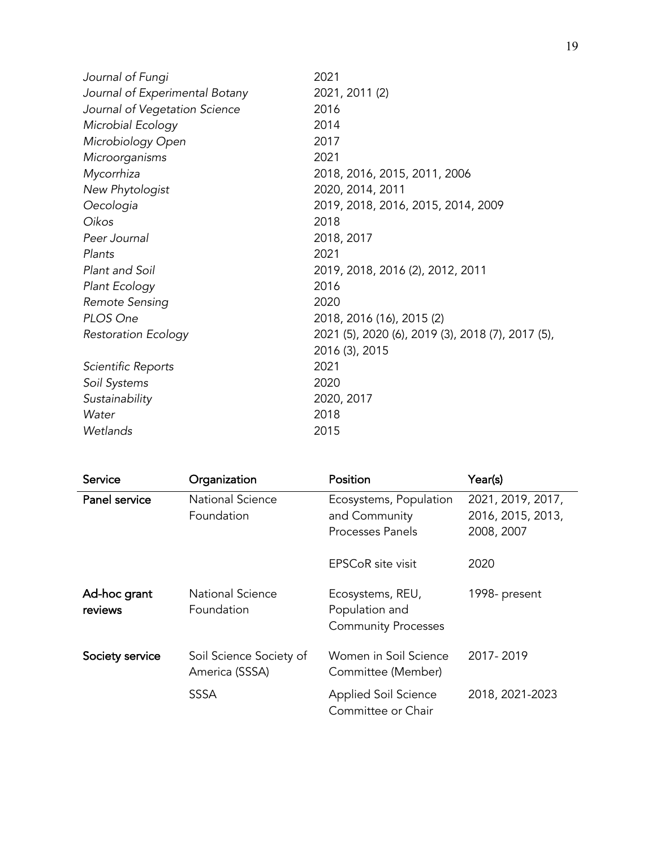| Journal of Fungi               | 2021                                              |
|--------------------------------|---------------------------------------------------|
| Journal of Experimental Botany | 2021, 2011 (2)                                    |
| Journal of Vegetation Science  | 2016                                              |
| Microbial Ecology              | 2014                                              |
| Microbiology Open              | 2017                                              |
| Microorganisms                 | 2021                                              |
| Mycorrhiza                     | 2018, 2016, 2015, 2011, 2006                      |
| New Phytologist                | 2020, 2014, 2011                                  |
| Oecologia                      | 2019, 2018, 2016, 2015, 2014, 2009                |
| Oikos                          | 2018                                              |
| Peer Journal                   | 2018, 2017                                        |
| Plants                         | 2021                                              |
| Plant and Soil                 | 2019, 2018, 2016 (2), 2012, 2011                  |
| Plant Ecology                  | 2016                                              |
| Remote Sensing                 | 2020                                              |
| PLOS One                       | 2018, 2016 (16), 2015 (2)                         |
| <b>Restoration Ecology</b>     | 2021 (5), 2020 (6), 2019 (3), 2018 (7), 2017 (5), |
|                                | 2016 (3), 2015                                    |
| Scientific Reports             | 2021                                              |
| Soil Systems                   | 2020                                              |
| Sustainability                 | 2020, 2017                                        |
| Water                          | 2018                                              |
| Wetlands                       | 2015                                              |
|                                |                                                   |

| Service                 | Organization                              | Position                                                         | Year(s)                                              |
|-------------------------|-------------------------------------------|------------------------------------------------------------------|------------------------------------------------------|
| Panel service           | <b>National Science</b><br>Foundation     | Ecosystems, Population<br>and Community<br>Processes Panels      | 2021, 2019, 2017,<br>2016, 2015, 2013,<br>2008, 2007 |
|                         |                                           | <b>EPSCoR</b> site visit                                         | 2020                                                 |
| Ad-hoc grant<br>reviews | <b>National Science</b><br>Foundation     | Ecosystems, REU,<br>Population and<br><b>Community Processes</b> | 1998- present                                        |
| Society service         | Soil Science Society of<br>America (SSSA) | Women in Soil Science<br>Committee (Member)                      | 2017-2019                                            |
|                         | <b>SSSA</b>                               | <b>Applied Soil Science</b><br>Committee or Chair                | 2018, 2021-2023                                      |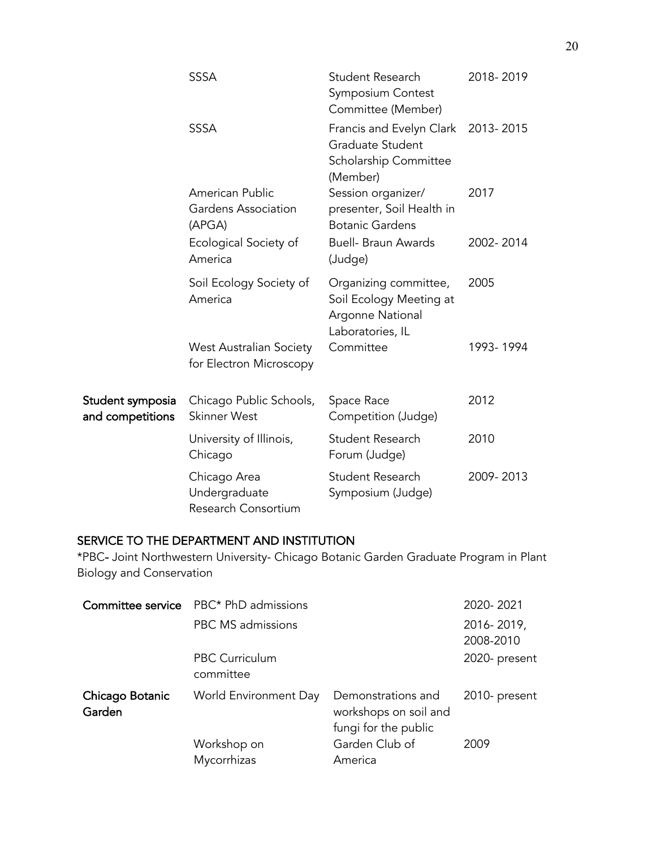|                                      | <b>SSSA</b>                                               | Student Research<br>Symposium Contest<br>Committee (Member)                                 | 2018-2019 |
|--------------------------------------|-----------------------------------------------------------|---------------------------------------------------------------------------------------------|-----------|
|                                      | <b>SSSA</b>                                               | Francis and Evelyn Clark 2013-2015<br>Graduate Student<br>Scholarship Committee<br>(Member) |           |
|                                      | American Public<br>Gardens Association<br>(APGA)          | Session organizer/<br>presenter, Soil Health in<br><b>Botanic Gardens</b>                   | 2017      |
|                                      | Ecological Society of<br>America                          | <b>Buell- Braun Awards</b><br>(Judge)                                                       | 2002-2014 |
|                                      | Soil Ecology Society of<br>America                        | Organizing committee,<br>Soil Ecology Meeting at<br>Argonne National<br>Laboratories, IL    | 2005      |
|                                      | <b>West Australian Society</b><br>for Electron Microscopy | Committee                                                                                   | 1993-1994 |
| Student symposia<br>and competitions | Chicago Public Schools,<br><b>Skinner West</b>            | Space Race<br>Competition (Judge)                                                           | 2012      |
|                                      | University of Illinois,<br>Chicago                        | Student Research<br>Forum (Judge)                                                           | 2010      |
|                                      | Chicago Area<br>Undergraduate<br>Research Consortium      | Student Research<br>Symposium (Judge)                                                       | 2009-2013 |

# SERVICE TO THE DEPARTMENT AND INSTITUTION

\*PBC- Joint Northwestern University- Chicago Botanic Garden Graduate Program in Plant Biology and Conservation

|                           | <b>Committee service</b> PBC* PhD admissions |                                                                     | 2020-2021               |
|---------------------------|----------------------------------------------|---------------------------------------------------------------------|-------------------------|
|                           | PBC MS admissions                            |                                                                     | 2016-2019,<br>2008-2010 |
|                           | PBC Curriculum<br>committee                  |                                                                     | 2020- present           |
| Chicago Botanic<br>Garden | World Environment Day                        | Demonstrations and<br>workshops on soil and<br>fungi for the public | 2010- present           |
|                           | Workshop on<br>Mycorrhizas                   | Garden Club of<br>America                                           | 2009                    |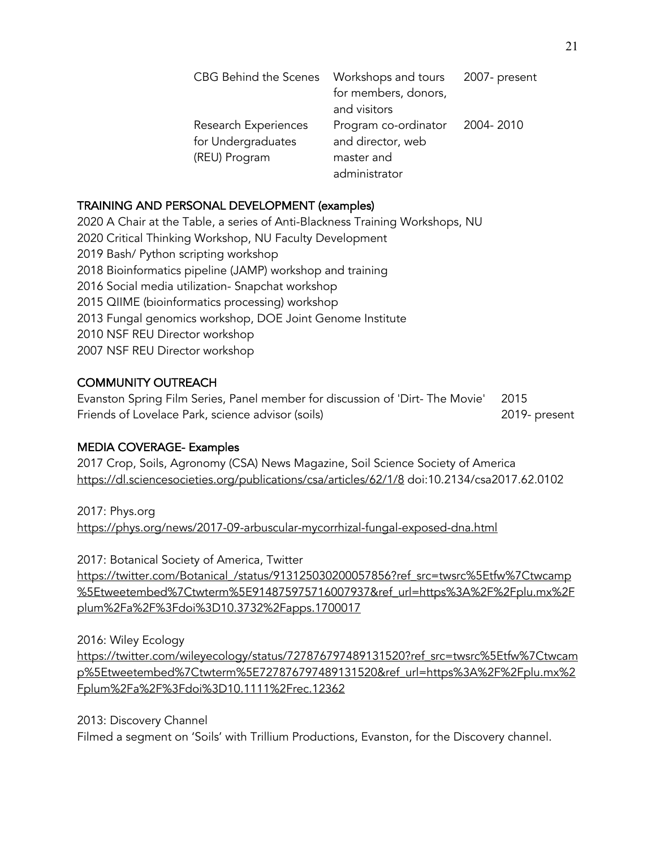| CBG Behind the Scenes | Workshops and tours<br>for members, donors, | 2007- present |
|-----------------------|---------------------------------------------|---------------|
|                       | and visitors                                |               |
| Research Experiences  | Program co-ordinator                        | 2004-2010     |
| for Undergraduates    | and director, web                           |               |
| (REU) Program         | master and                                  |               |
|                       | administrator                               |               |

## TRAINING AND PERSONAL DEVELOPMENT (examples)

2020 A Chair at the Table, a series of Anti-Blackness Training Workshops, NU 2020 Critical Thinking Workshop, NU Faculty Development 2019 Bash/ Python scripting workshop 2018 Bioinformatics pipeline (JAMP) workshop and training 2016 Social media utilization- Snapchat workshop 2015 QIIME (bioinformatics processing) workshop 2013 Fungal genomics workshop, DOE Joint Genome Institute 2010 NSF REU Director workshop 2007 NSF REU Director workshop

# COMMUNITY OUTREACH

Evanston Spring Film Series, Panel member for discussion of 'Dirt- The Movie' 2015 Friends of Lovelace Park, science advisor (soils) 2019- present

### MEDIA COVERAGE- Examples

2017 Crop, Soils, Agronomy (CSA) News Magazine, Soil Science Society of America https://dl.sciencesocieties.org/publications/csa/articles/62/1/8 doi:10.2134/csa2017.62.0102

2017: Phys.org https://phys.org/news/2017-09-arbuscular-mycorrhizal-fungal-exposed-dna.html

2017: Botanical Society of America, Twitter https://twitter.com/Botanical\_/status/913125030200057856?ref\_src=twsrc%5Etfw%7Ctwcamp %5Etweetembed%7Ctwterm%5E914875975716007937&ref\_url=https%3A%2F%2Fplu.mx%2F plum%2Fa%2F%3Fdoi%3D10.3732%2Fapps.1700017

2016: Wiley Ecology

https://twitter.com/wileyecology/status/727876797489131520?ref\_src=twsrc%5Etfw%7Ctwcam p%5Etweetembed%7Ctwterm%5E727876797489131520&ref\_url=https%3A%2F%2Fplu.mx%2 Fplum%2Fa%2F%3Fdoi%3D10.1111%2Frec.12362

2013: Discovery Channel

Filmed a segment on 'Soils' with Trillium Productions, Evanston, for the Discovery channel.